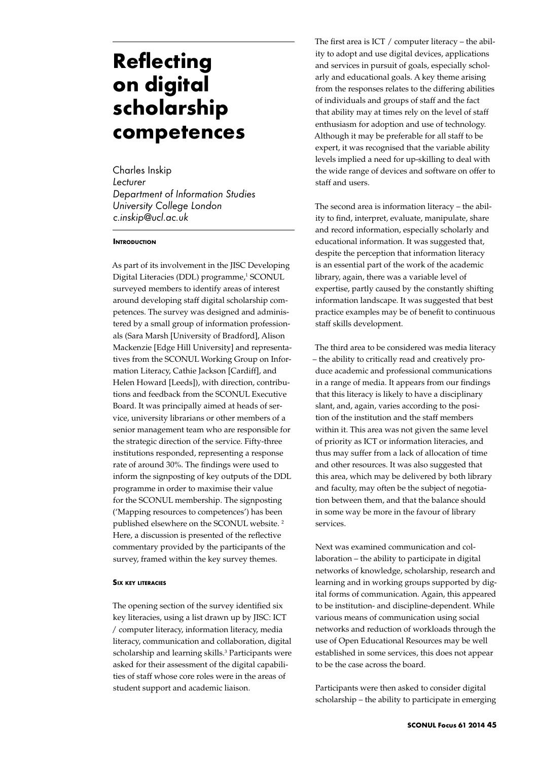# **Reflecting on digital scholarship competences**

Charles Inskip *Lecturer Department of Information Studies University College London c.inskip@ucl.ac.uk*

# **INTRODUCTION**

As part of its involvement in the JISC Developing Digital Literacies (DDL) programme,<sup>1</sup> SCONUL surveyed members to identify areas of interest around developing staff digital scholarship competences. The survey was designed and administered by a small group of information professionals (Sara Marsh [University of Bradford], Alison Mackenzie [Edge Hill University] and representatives from the SCONUL Working Group on Information Literacy, Cathie Jackson [Cardiff], and Helen Howard [Leeds]), with direction, contributions and feedback from the SCONUL Executive Board. It was principally aimed at heads of service, university librarians or other members of a senior management team who are responsible for the strategic direction of the service. Fifty-three institutions responded, representing a response rate of around 30%. The findings were used to inform the signposting of key outputs of the DDL programme in order to maximise their value for the SCONUL membership. The signposting ('Mapping resources to competences') has been published elsewhere on the SCONUL website. 2 Here, a discussion is presented of the reflective commentary provided by the participants of the survey, framed within the key survey themes.

#### **Six key literacies**

The opening section of the survey identified six key literacies, using a list drawn up by JISC: ICT / computer literacy, information literacy, media literacy, communication and collaboration, digital scholarship and learning skills.<sup>3</sup> Participants were asked for their assessment of the digital capabilities of staff whose core roles were in the areas of student support and academic liaison.

The first area is ICT / computer literacy – the ability to adopt and use digital devices, applications and services in pursuit of goals, especially scholarly and educational goals. A key theme arising from the responses relates to the differing abilities of individuals and groups of staff and the fact that ability may at times rely on the level of staff enthusiasm for adoption and use of technology. Although it may be preferable for all staff to be expert, it was recognised that the variable ability levels implied a need for up-skilling to deal with the wide range of devices and software on offer to staff and users.

The second area is information literacy – the ability to find, interpret, evaluate, manipulate, share and record information, especially scholarly and educational information. It was suggested that, despite the perception that information literacy is an essential part of the work of the academic library, again, there was a variable level of expertise, partly caused by the constantly shifting information landscape. It was suggested that best practice examples may be of benefit to continuous staff skills development.

The third area to be considered was media literacy – the ability to critically read and creatively produce academic and professional communications in a range of media. It appears from our findings that this literacy is likely to have a disciplinary slant, and, again, varies according to the position of the institution and the staff members within it. This area was not given the same level of priority as ICT or information literacies, and thus may suffer from a lack of allocation of time and other resources. It was also suggested that this area, which may be delivered by both library and faculty, may often be the subject of negotiation between them, and that the balance should in some way be more in the favour of library services.

Next was examined communication and collaboration – the ability to participate in digital networks of knowledge, scholarship, research and learning and in working groups supported by digital forms of communication. Again, this appeared to be institution- and discipline-dependent. While various means of communication using social networks and reduction of workloads through the use of Open Educational Resources may be well established in some services, this does not appear to be the case across the board.

Participants were then asked to consider digital scholarship – the ability to participate in emerging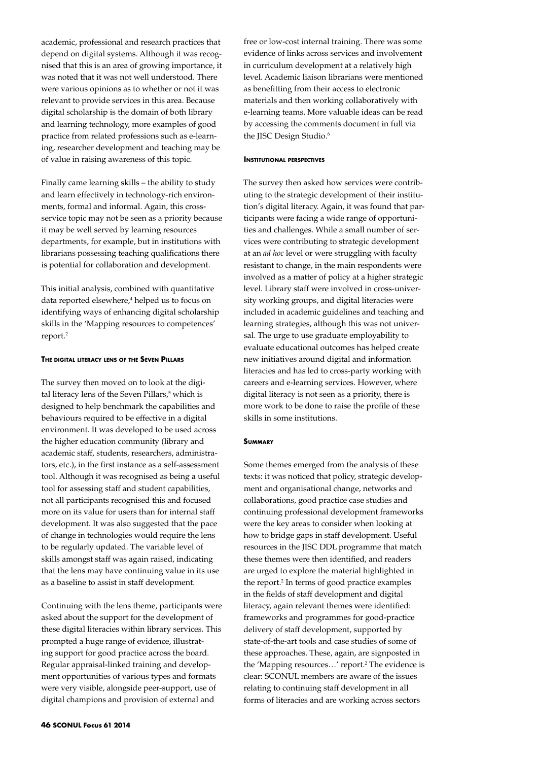academic, professional and research practices that depend on digital systems. Although it was recognised that this is an area of growing importance, it was noted that it was not well understood. There were various opinions as to whether or not it was relevant to provide services in this area. Because digital scholarship is the domain of both library and learning technology, more examples of good practice from related professions such as e-learning, researcher development and teaching may be of value in raising awareness of this topic.

Finally came learning skills – the ability to study and learn effectively in technology-rich environments, formal and informal. Again, this crossservice topic may not be seen as a priority because it may be well served by learning resources departments, for example, but in institutions with librarians possessing teaching qualifications there is potential for collaboration and development.

This initial analysis, combined with quantitative data reported elsewhere,<sup>4</sup> helped us to focus on identifying ways of enhancing digital scholarship skills in the 'Mapping resources to competences' report.2

#### **The digital literacy lens of the Seven Pillars**

The survey then moved on to look at the digital literacy lens of the Seven Pillars,<sup>5</sup> which is designed to help benchmark the capabilities and behaviours required to be effective in a digital environment. It was developed to be used across the higher education community (library and academic staff, students, researchers, administrators, etc.), in the first instance as a self-assessment tool. Although it was recognised as being a useful tool for assessing staff and student capabilities, not all participants recognised this and focused more on its value for users than for internal staff development. It was also suggested that the pace of change in technologies would require the lens to be regularly updated. The variable level of skills amongst staff was again raised, indicating that the lens may have continuing value in its use as a baseline to assist in staff development.

Continuing with the lens theme, participants were asked about the support for the development of these digital literacies within library services. This prompted a huge range of evidence, illustrating support for good practice across the board. Regular appraisal-linked training and development opportunities of various types and formats were very visible, alongside peer-support, use of digital champions and provision of external and

free or low-cost internal training. There was some evidence of links across services and involvement in curriculum development at a relatively high level. Academic liaison librarians were mentioned as benefitting from their access to electronic materials and then working collaboratively with e-learning teams. More valuable ideas can be read by accessing the comments document in full via the JISC Design Studio.<sup>6</sup>

#### **Institutional perspectives**

The survey then asked how services were contributing to the strategic development of their institution's digital literacy. Again, it was found that participants were facing a wide range of opportunities and challenges. While a small number of services were contributing to strategic development at an *ad hoc* level or were struggling with faculty resistant to change, in the main respondents were involved as a matter of policy at a higher strategic level. Library staff were involved in cross-university working groups, and digital literacies were included in academic guidelines and teaching and learning strategies, although this was not universal. The urge to use graduate employability to evaluate educational outcomes has helped create new initiatives around digital and information literacies and has led to cross-party working with careers and e-learning services. However, where digital literacy is not seen as a priority, there is more work to be done to raise the profile of these skills in some institutions.

## **Summary**

Some themes emerged from the analysis of these texts: it was noticed that policy, strategic development and organisational change, networks and collaborations, good practice case studies and continuing professional development frameworks were the key areas to consider when looking at how to bridge gaps in staff development. Useful resources in the JISC DDL programme that match these themes were then identified, and readers are urged to explore the material highlighted in the report.<sup>2</sup> In terms of good practice examples in the fields of staff development and digital literacy, again relevant themes were identified: frameworks and programmes for good-practice delivery of staff development, supported by state-of-the-art tools and case studies of some of these approaches. These, again, are signposted in the 'Mapping resources...' report.<sup>2</sup> The evidence is clear: SCONUL members are aware of the issues relating to continuing staff development in all forms of literacies and are working across sectors